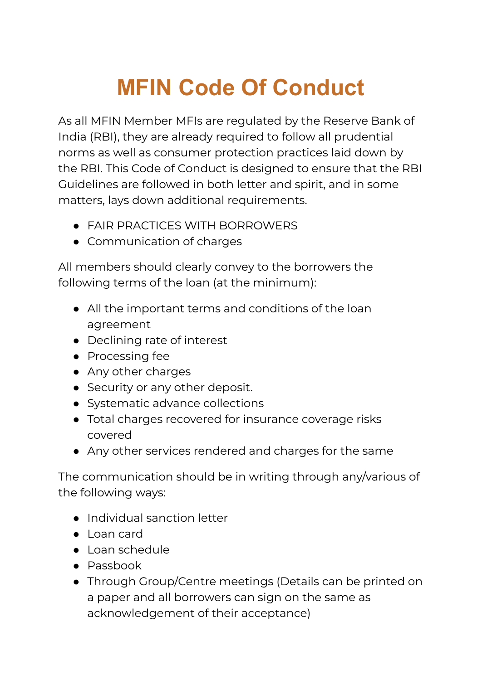## **MFIN Code Of Conduct**

As all MFIN Member MFIs are regulated by the Reserve Bank of India (RBI), they are already required to follow all prudential norms as well as consumer protection practices laid down by the RBI. This Code of Conduct is designed to ensure that the RBI Guidelines are followed in both letter and spirit, and in some matters, lays down additional requirements.

- FAIR PRACTICES WITH BORROWERS
- Communication of charges

All members should clearly convey to the borrowers the following terms of the loan (at the minimum):

- All the important terms and conditions of the loan agreement
- Declining rate of interest
- Processing fee
- Any other charges
- Security or any other deposit.
- Systematic advance collections
- Total charges recovered for insurance coverage risks covered
- Any other services rendered and charges for the same

The communication should be in writing through any/various of the following ways:

- Individual sanction letter
- Loan card
- Loan schedule
- Passbook
- Through Group/Centre meetings (Details can be printed on a paper and all borrowers can sign on the same as acknowledgement of their acceptance)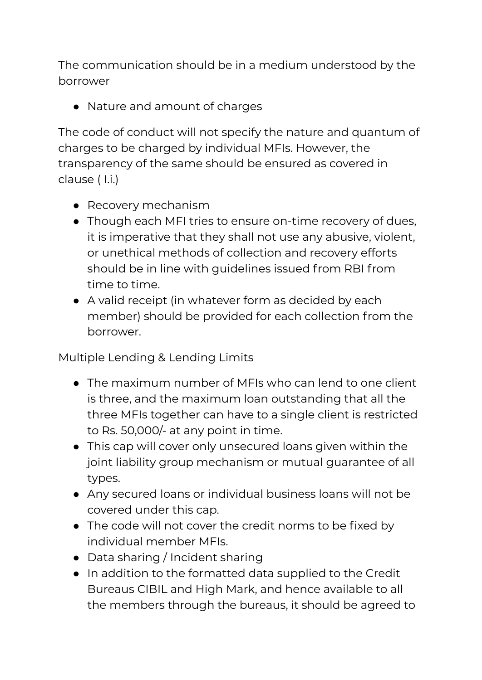The communication should be in a medium understood by the borrower

● Nature and amount of charges

The code of conduct will not specify the nature and quantum of charges to be charged by individual MFIs. However, the transparency of the same should be ensured as covered in clause ( I.i.)

- Recovery mechanism
- Though each MFI tries to ensure on-time recovery of dues, it is imperative that they shall not use any abusive, violent, or unethical methods of collection and recovery efforts should be in line with guidelines issued from RBI from time to time.
- A valid receipt (in whatever form as decided by each member) should be provided for each collection from the borrower.

Multiple Lending & Lending Limits

- The maximum number of MFIs who can lend to one client is three, and the maximum loan outstanding that all the three MFIs together can have to a single client is restricted to Rs. 50,000/- at any point in time.
- This cap will cover only unsecured loans given within the joint liability group mechanism or mutual guarantee of all types.
- Any secured loans or individual business loans will not be covered under this cap.
- The code will not cover the credit norms to be fixed by individual member MFIs.
- Data sharing / Incident sharing
- In addition to the formatted data supplied to the Credit Bureaus CIBIL and High Mark, and hence available to all the members through the bureaus, it should be agreed to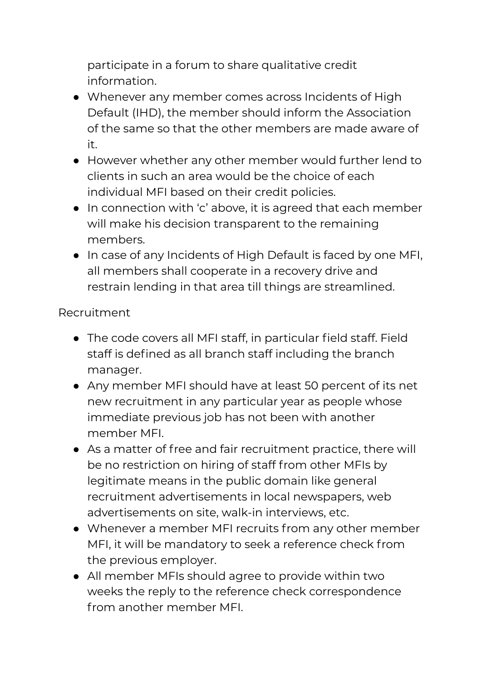participate in a forum to share qualitative credit information.

- Whenever any member comes across Incidents of High Default (IHD), the member should inform the Association of the same so that the other members are made aware of it.
- However whether any other member would further lend to clients in such an area would be the choice of each individual MFI based on their credit policies.
- In connection with 'c' above, it is agreed that each member will make his decision transparent to the remaining members.
- In case of any Incidents of High Default is faced by one MFI, all members shall cooperate in a recovery drive and restrain lending in that area till things are streamlined.

## Recruitment

- The code covers all MFI staff, in particular field staff. Field staff is defined as all branch staff including the branch manager.
- Any member MFI should have at least 50 percent of its net new recruitment in any particular year as people whose immediate previous job has not been with another member MFI.
- As a matter of free and fair recruitment practice, there will be no restriction on hiring of staff from other MFIs by legitimate means in the public domain like general recruitment advertisements in local newspapers, web advertisements on site, walk-in interviews, etc.
- Whenever a member MFI recruits from any other member MFI, it will be mandatory to seek a reference check from the previous employer.
- All member MFIs should agree to provide within two weeks the reply to the reference check correspondence from another member MFI.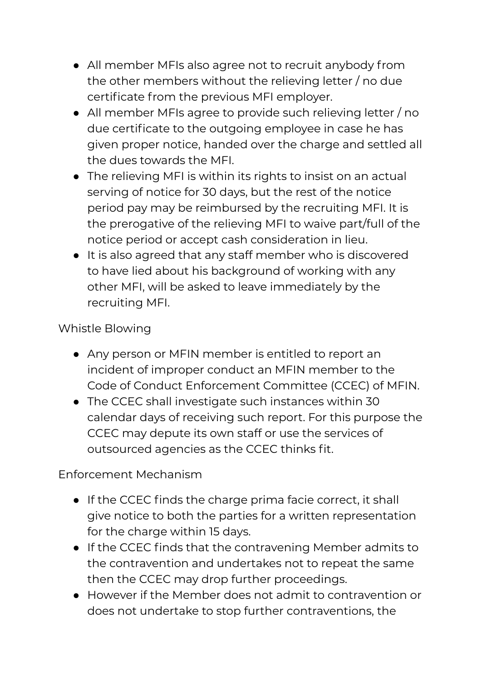- All member MFIs also agree not to recruit anybody from the other members without the relieving letter / no due certificate from the previous MFI employer.
- All member MFIs agree to provide such relieving letter / no due certificate to the outgoing employee in case he has given proper notice, handed over the charge and settled all the dues towards the MFI.
- The relieving MFI is within its rights to insist on an actual serving of notice for 30 days, but the rest of the notice period pay may be reimbursed by the recruiting MFI. It is the prerogative of the relieving MFI to waive part/full of the notice period or accept cash consideration in lieu.
- It is also agreed that any staff member who is discovered to have lied about his background of working with any other MFI, will be asked to leave immediately by the recruiting MFI.

## Whistle Blowing

- Any person or MFIN member is entitled to report an incident of improper conduct an MFIN member to the Code of Conduct Enforcement Committee (CCEC) of MFIN.
- The CCEC shall investigate such instances within 30 calendar days of receiving such report. For this purpose the CCEC may depute its own staff or use the services of outsourced agencies as the CCEC thinks fit.

## Enforcement Mechanism

- If the CCEC finds the charge prima facie correct, it shall give notice to both the parties for a written representation for the charge within 15 days.
- If the CCEC finds that the contravening Member admits to the contravention and undertakes not to repeat the same then the CCEC may drop further proceedings.
- However if the Member does not admit to contravention or does not undertake to stop further contraventions, the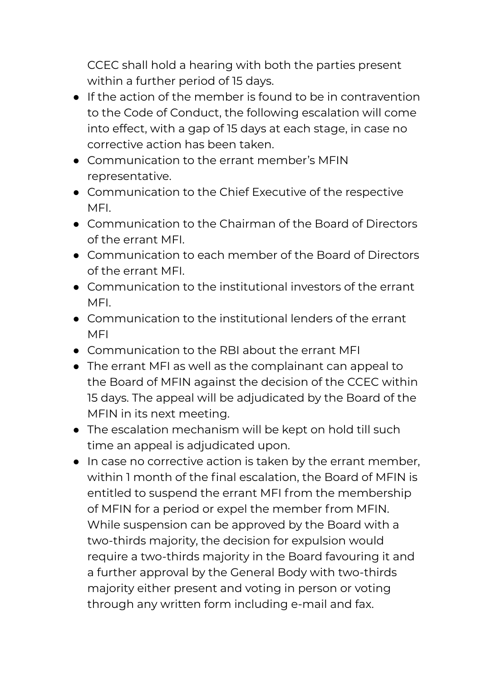CCEC shall hold a hearing with both the parties present within a further period of 15 days.

- If the action of the member is found to be in contravention to the Code of Conduct, the following escalation will come into effect, with a gap of 15 days at each stage, in case no corrective action has been taken.
- Communication to the errant member's MFIN representative.
- Communication to the Chief Executive of the respective MFI.
- Communication to the Chairman of the Board of Directors of the errant MFI.
- Communication to each member of the Board of Directors of the errant MFI.
- Communication to the institutional investors of the errant MFI.
- Communication to the institutional lenders of the errant MFI
- Communication to the RBI about the errant MFI
- The errant MFI as well as the complainant can appeal to the Board of MFIN against the decision of the CCEC within 15 days. The appeal will be adjudicated by the Board of the MFIN in its next meeting.
- The escalation mechanism will be kept on hold till such time an appeal is adjudicated upon.
- In case no corrective action is taken by the errant member, within 1 month of the final escalation, the Board of MFIN is entitled to suspend the errant MFI from the membership of MFIN for a period or expel the member from MFIN. While suspension can be approved by the Board with a two-thirds majority, the decision for expulsion would require a two-thirds majority in the Board favouring it and a further approval by the General Body with two-thirds majority either present and voting in person or voting through any written form including e-mail and fax.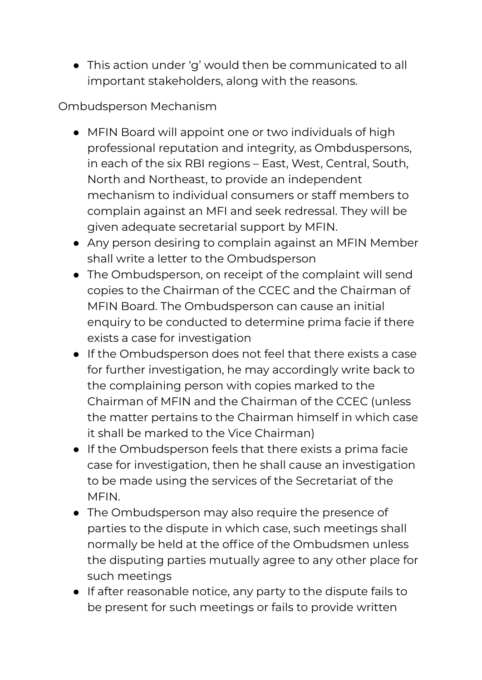● This action under 'g' would then be communicated to all important stakeholders, along with the reasons.

Ombudsperson Mechanism

- MFIN Board will appoint one or two individuals of high professional reputation and integrity, as Ombduspersons, in each of the six RBI regions – East, West, Central, South, North and Northeast, to provide an independent mechanism to individual consumers or staff members to complain against an MFI and seek redressal. They will be given adequate secretarial support by MFIN.
- Any person desiring to complain against an MFIN Member shall write a letter to the Ombudsperson
- The Ombudsperson, on receipt of the complaint will send copies to the Chairman of the CCEC and the Chairman of MFIN Board. The Ombudsperson can cause an initial enquiry to be conducted to determine prima facie if there exists a case for investigation
- If the Ombudsperson does not feel that there exists a case for further investigation, he may accordingly write back to the complaining person with copies marked to the Chairman of MFIN and the Chairman of the CCEC (unless the matter pertains to the Chairman himself in which case it shall be marked to the Vice Chairman)
- If the Ombudsperson feels that there exists a prima facie case for investigation, then he shall cause an investigation to be made using the services of the Secretariat of the MFIN.
- The Ombudsperson may also require the presence of parties to the dispute in which case, such meetings shall normally be held at the office of the Ombudsmen unless the disputing parties mutually agree to any other place for such meetings
- If after reasonable notice, any party to the dispute fails to be present for such meetings or fails to provide written